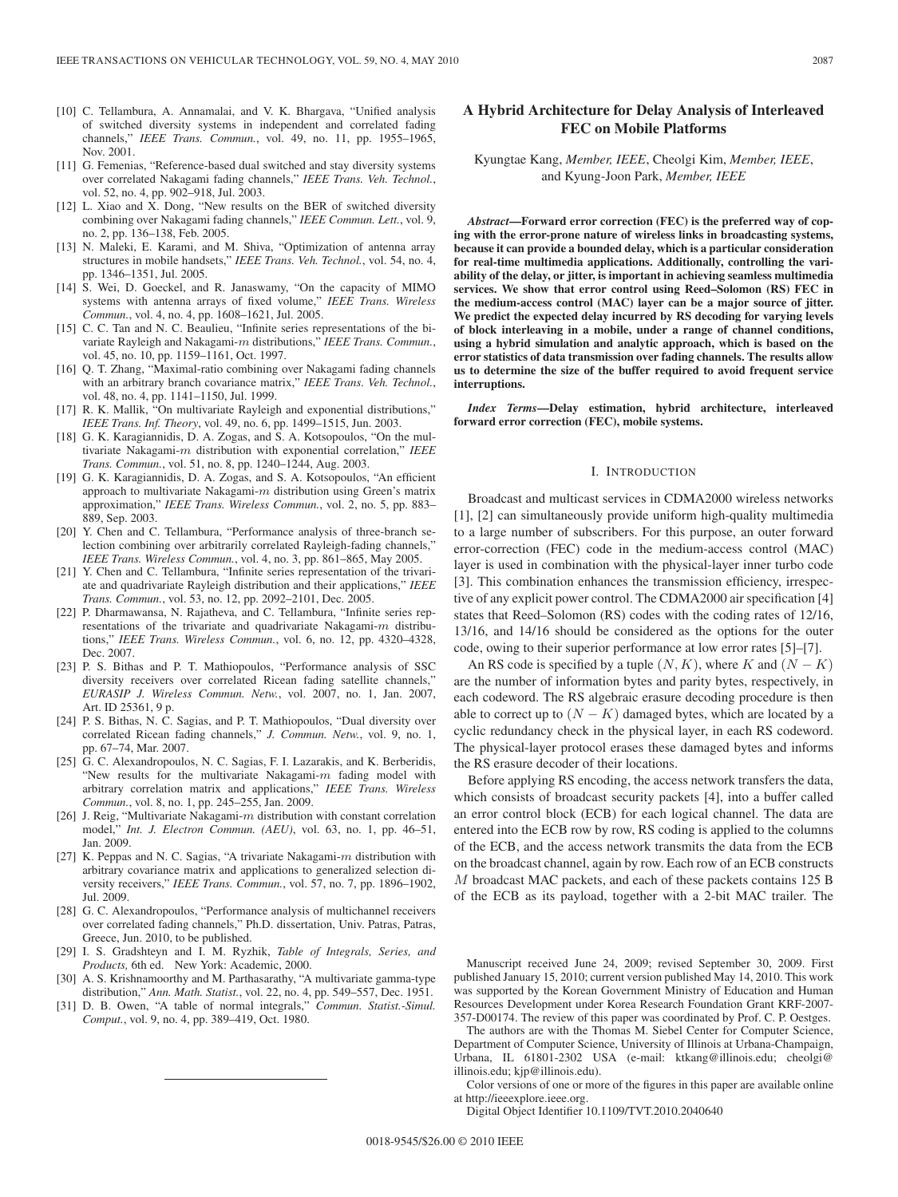- [10] C. Tellambura, A. Annamalai, and V. K. Bhargava, "Unified analysis of switched diversity systems in independent and correlated fading channels," *IEEE Trans. Commun.*, vol. 49, no. 11, pp. 1955–1965, Nov. 2001.
- [11] G. Femenias, "Reference-based dual switched and stay diversity systems over correlated Nakagami fading channels," *IEEE Trans. Veh. Technol.*, vol. 52, no. 4, pp. 902–918, Jul. 2003.
- [12] L. Xiao and X. Dong, "New results on the BER of switched diversity combining over Nakagami fading channels," *IEEE Commun. Lett.*, vol. 9, no. 2, pp. 136–138, Feb. 2005.
- [13] N. Maleki, E. Karami, and M. Shiva, "Optimization of antenna array structures in mobile handsets," *IEEE Trans. Veh. Technol.*, vol. 54, no. 4, pp. 1346–1351, Jul. 2005.
- [14] S. Wei, D. Goeckel, and R. Janaswamy, "On the capacity of MIMO systems with antenna arrays of fixed volume," *IEEE Trans. Wireless Commun.*, vol. 4, no. 4, pp. 1608–1621, Jul. 2005.
- [15] C. C. Tan and N. C. Beaulieu, "Infinite series representations of the bivariate Rayleigh and Nakagami-m distributions," *IEEE Trans. Commun.*, vol. 45, no. 10, pp. 1159–1161, Oct. 1997.
- [16] Q. T. Zhang, "Maximal-ratio combining over Nakagami fading channels with an arbitrary branch covariance matrix," *IEEE Trans. Veh. Technol.*, vol. 48, no. 4, pp. 1141–1150, Jul. 1999.
- [17] R. K. Mallik, "On multivariate Rayleigh and exponential distributions," *IEEE Trans. Inf. Theory*, vol. 49, no. 6, pp. 1499–1515, Jun. 2003.
- [18] G. K. Karagiannidis, D. A. Zogas, and S. A. Kotsopoulos, "On the multivariate Nakagami-m distribution with exponential correlation," *IEEE Trans. Commun.*, vol. 51, no. 8, pp. 1240–1244, Aug. 2003.
- [19] G. K. Karagiannidis, D. A. Zogas, and S. A. Kotsopoulos, "An efficient approach to multivariate Nakagami-m distribution using Green's matrix approximation," *IEEE Trans. Wireless Commun.*, vol. 2, no. 5, pp. 883– 889, Sep. 2003.
- [20] Y. Chen and C. Tellambura, "Performance analysis of three-branch selection combining over arbitrarily correlated Rayleigh-fading channels," *IEEE Trans. Wireless Commun.*, vol. 4, no. 3, pp. 861–865, May 2005.
- [21] Y. Chen and C. Tellambura, "Infinite series representation of the trivariate and quadrivariate Rayleigh distribution and their applications," *IEEE Trans. Commun.*, vol. 53, no. 12, pp. 2092–2101, Dec. 2005.
- [22] P. Dharmawansa, N. Rajatheva, and C. Tellambura, "Infinite series representations of the trivariate and quadrivariate Nakagami-m distributions," *IEEE Trans. Wireless Commun.*, vol. 6, no. 12, pp. 4320–4328, Dec. 2007.
- [23] P. S. Bithas and P. T. Mathiopoulos, "Performance analysis of SSC diversity receivers over correlated Ricean fading satellite channels," *EURASIP J. Wireless Commun. Netw.*, vol. 2007, no. 1, Jan. 2007, Art. ID 25361, 9 p.
- [24] P. S. Bithas, N. C. Sagias, and P. T. Mathiopoulos, "Dual diversity over correlated Ricean fading channels," *J. Commun. Netw.*, vol. 9, no. 1, pp. 67–74, Mar. 2007.
- [25] G. C. Alexandropoulos, N. C. Sagias, F. I. Lazarakis, and K. Berberidis, "New results for the multivariate Nakagami- $m$  fading model with arbitrary correlation matrix and applications," *IEEE Trans. Wireless Commun.*, vol. 8, no. 1, pp. 245–255, Jan. 2009.
- [26] J. Reig, "Multivariate Nakagami- $m$  distribution with constant correlation model," *Int. J. Electron Commun. (AEU)*, vol. 63, no. 1, pp. 46–51, Jan. 2009.
- [27] K. Peppas and N. C. Sagias, "A trivariate Nakagami-m distribution with arbitrary covariance matrix and applications to generalized selection diversity receivers," *IEEE Trans. Commun.*, vol. 57, no. 7, pp. 1896–1902, Jul. 2009.
- [28] G. C. Alexandropoulos, "Performance analysis of multichannel receivers over correlated fading channels," Ph.D. dissertation, Univ. Patras, Patras, Greece, Jun. 2010, to be published.
- [29] I. S. Gradshteyn and I. M. Ryzhik, *Table of Integrals, Series, and Products,* 6th ed. New York: Academic, 2000.
- [30] A. S. Krishnamoorthy and M. Parthasarathy, "A multivariate gamma-type distribution," *Ann. Math. Statist.*, vol. 22, no. 4, pp. 549–557, Dec. 1951.
- [31] D. B. Owen, "A table of normal integrals," *Commun. Statist.-Simul. Comput.*, vol. 9, no. 4, pp. 389–419, Oct. 1980.

# **A Hybrid Architecture for Delay Analysis of Interleaved FEC on Mobile Platforms**

# Kyungtae Kang, *Member, IEEE*, Cheolgi Kim, *Member, IEEE*, and Kyung-Joon Park, *Member, IEEE*

*Abstract***—Forward error correction (FEC) is the preferred way of coping with the error-prone nature of wireless links in broadcasting systems, because it can provide a bounded delay, which is a particular consideration for real-time multimedia applications. Additionally, controlling the variability of the delay, or jitter, is important in achieving seamless multimedia services. We show that error control using Reed–Solomon (RS) FEC in the medium-access control (MAC) layer can be a major source of jitter. We predict the expected delay incurred by RS decoding for varying levels of block interleaving in a mobile, under a range of channel conditions, using a hybrid simulation and analytic approach, which is based on the error statistics of data transmission over fading channels. The results allow us to determine the size of the buffer required to avoid frequent service interruptions.**

*Index Terms***—Delay estimation, hybrid architecture, interleaved forward error correction (FEC), mobile systems.**

# I. INTRODUCTION

Broadcast and multicast services in CDMA2000 wireless networks [1], [2] can simultaneously provide uniform high-quality multimedia to a large number of subscribers. For this purpose, an outer forward error-correction (FEC) code in the medium-access control (MAC) layer is used in combination with the physical-layer inner turbo code [3]. This combination enhances the transmission efficiency, irrespective of any explicit power control. The CDMA2000 air specification [4] states that Reed–Solomon (RS) codes with the coding rates of 12/16, 13/16, and 14/16 should be considered as the options for the outer code, owing to their superior performance at low error rates [5]–[7].

An RS code is specified by a tuple  $(N, K)$ , where K and  $(N - K)$ are the number of information bytes and parity bytes, respectively, in each codeword. The RS algebraic erasure decoding procedure is then able to correct up to  $(N - K)$  damaged bytes, which are located by a cyclic redundancy check in the physical layer, in each RS codeword. The physical-layer protocol erases these damaged bytes and informs the RS erasure decoder of their locations.

Before applying RS encoding, the access network transfers the data, which consists of broadcast security packets [4], into a buffer called an error control block (ECB) for each logical channel. The data are entered into the ECB row by row, RS coding is applied to the columns of the ECB, and the access network transmits the data from the ECB on the broadcast channel, again by row. Each row of an ECB constructs M broadcast MAC packets, and each of these packets contains 125 B of the ECB as its payload, together with a 2-bit MAC trailer. The

Manuscript received June 24, 2009; revised September 30, 2009. First published January 15, 2010; current version published May 14, 2010. This work was supported by the Korean Government Ministry of Education and Human Resources Development under Korea Research Foundation Grant KRF-2007- 357-D00174. The review of this paper was coordinated by Prof. C. P. Oestges.

The authors are with the Thomas M. Siebel Center for Computer Science, Department of Computer Science, University of Illinois at Urbana-Champaign, Urbana, IL 61801-2302 USA (e-mail: ktkang@illinois.edu; cheolgi@ illinois.edu; kjp@illinois.edu).

Color versions of one or more of the figures in this paper are available online at http://ieeexplore.ieee.org.

Digital Object Identifier 10.1109/TVT.2010.2040640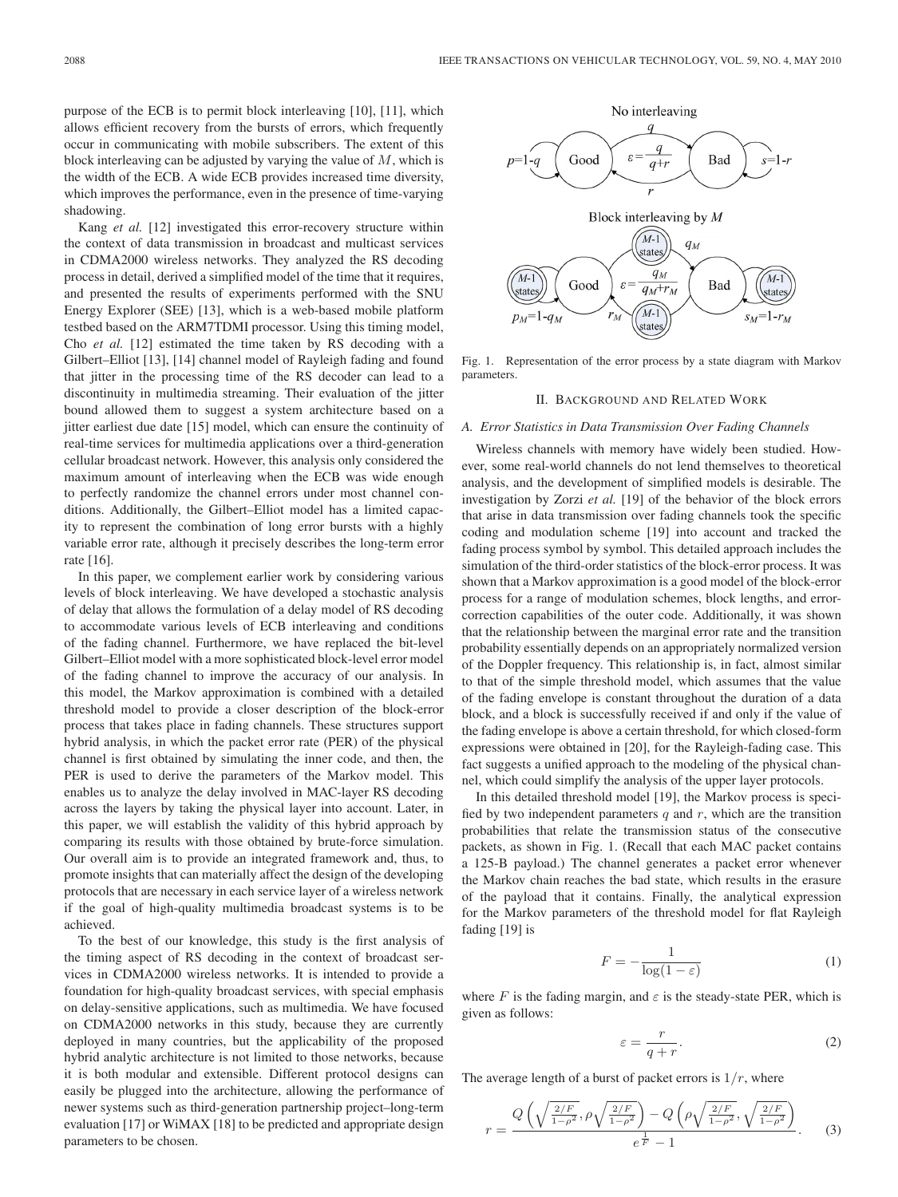purpose of the ECB is to permit block interleaving [10], [11], which allows efficient recovery from the bursts of errors, which frequently occur in communicating with mobile subscribers. The extent of this block interleaving can be adjusted by varying the value of  $M$ , which is the width of the ECB. A wide ECB provides increased time diversity, which improves the performance, even in the presence of time-varying shadowing.

Kang *et al.* [12] investigated this error-recovery structure within the context of data transmission in broadcast and multicast services in CDMA2000 wireless networks. They analyzed the RS decoding process in detail, derived a simplified model of the time that it requires, and presented the results of experiments performed with the SNU Energy Explorer (SEE) [13], which is a web-based mobile platform testbed based on the ARM7TDMI processor. Using this timing model, Cho *et al.* [12] estimated the time taken by RS decoding with a Gilbert–Elliot [13], [14] channel model of Rayleigh fading and found that jitter in the processing time of the RS decoder can lead to a discontinuity in multimedia streaming. Their evaluation of the jitter bound allowed them to suggest a system architecture based on a jitter earliest due date [15] model, which can ensure the continuity of real-time services for multimedia applications over a third-generation cellular broadcast network. However, this analysis only considered the maximum amount of interleaving when the ECB was wide enough to perfectly randomize the channel errors under most channel conditions. Additionally, the Gilbert–Elliot model has a limited capacity to represent the combination of long error bursts with a highly variable error rate, although it precisely describes the long-term error rate [16].

In this paper, we complement earlier work by considering various levels of block interleaving. We have developed a stochastic analysis of delay that allows the formulation of a delay model of RS decoding to accommodate various levels of ECB interleaving and conditions of the fading channel. Furthermore, we have replaced the bit-level Gilbert–Elliot model with a more sophisticated block-level error model of the fading channel to improve the accuracy of our analysis. In this model, the Markov approximation is combined with a detailed threshold model to provide a closer description of the block-error process that takes place in fading channels. These structures support hybrid analysis, in which the packet error rate (PER) of the physical channel is first obtained by simulating the inner code, and then, the PER is used to derive the parameters of the Markov model. This enables us to analyze the delay involved in MAC-layer RS decoding across the layers by taking the physical layer into account. Later, in this paper, we will establish the validity of this hybrid approach by comparing its results with those obtained by brute-force simulation. Our overall aim is to provide an integrated framework and, thus, to promote insights that can materially affect the design of the developing protocols that are necessary in each service layer of a wireless network if the goal of high-quality multimedia broadcast systems is to be achieved.

To the best of our knowledge, this study is the first analysis of the timing aspect of RS decoding in the context of broadcast services in CDMA2000 wireless networks. It is intended to provide a foundation for high-quality broadcast services, with special emphasis on delay-sensitive applications, such as multimedia. We have focused on CDMA2000 networks in this study, because they are currently deployed in many countries, but the applicability of the proposed hybrid analytic architecture is not limited to those networks, because it is both modular and extensible. Different protocol designs can easily be plugged into the architecture, allowing the performance of newer systems such as third-generation partnership project–long-term evaluation [17] or WiMAX [18] to be predicted and appropriate design parameters to be chosen.



Fig. 1. Representation of the error process by a state diagram with Markov parameters.

# II. BACKGROUND AND RELATED WORK

### *A. Error Statistics in Data Transmission Over Fading Channels*

Wireless channels with memory have widely been studied. However, some real-world channels do not lend themselves to theoretical analysis, and the development of simplified models is desirable. The investigation by Zorzi *et al.* [19] of the behavior of the block errors that arise in data transmission over fading channels took the specific coding and modulation scheme [19] into account and tracked the fading process symbol by symbol. This detailed approach includes the simulation of the third-order statistics of the block-error process. It was shown that a Markov approximation is a good model of the block-error process for a range of modulation schemes, block lengths, and errorcorrection capabilities of the outer code. Additionally, it was shown that the relationship between the marginal error rate and the transition probability essentially depends on an appropriately normalized version of the Doppler frequency. This relationship is, in fact, almost similar to that of the simple threshold model, which assumes that the value of the fading envelope is constant throughout the duration of a data block, and a block is successfully received if and only if the value of the fading envelope is above a certain threshold, for which closed-form expressions were obtained in [20], for the Rayleigh-fading case. This fact suggests a unified approach to the modeling of the physical channel, which could simplify the analysis of the upper layer protocols.

In this detailed threshold model [19], the Markov process is specified by two independent parameters  $q$  and  $r$ , which are the transition probabilities that relate the transmission status of the consecutive packets, as shown in Fig. 1. (Recall that each MAC packet contains a 125-B payload.) The channel generates a packet error whenever the Markov chain reaches the bad state, which results in the erasure of the payload that it contains. Finally, the analytical expression for the Markov parameters of the threshold model for flat Rayleigh fading [19] is

$$
F = -\frac{1}{\log(1 - \varepsilon)}\tag{1}
$$

where F is the fading margin, and  $\varepsilon$  is the steady-state PER, which is given as follows:

$$
\varepsilon = \frac{r}{q+r}.\tag{2}
$$

The average length of a burst of packet errors is  $1/r$ , where

$$
r = \frac{Q\left(\sqrt{\frac{2/F}{1-\rho^2}}, \rho \sqrt{\frac{2/F}{1-\rho^2}}\right) - Q\left(\rho \sqrt{\frac{2/F}{1-\rho^2}}, \sqrt{\frac{2/F}{1-\rho^2}}\right)}{e^{\frac{1}{F}} - 1}.
$$
 (3)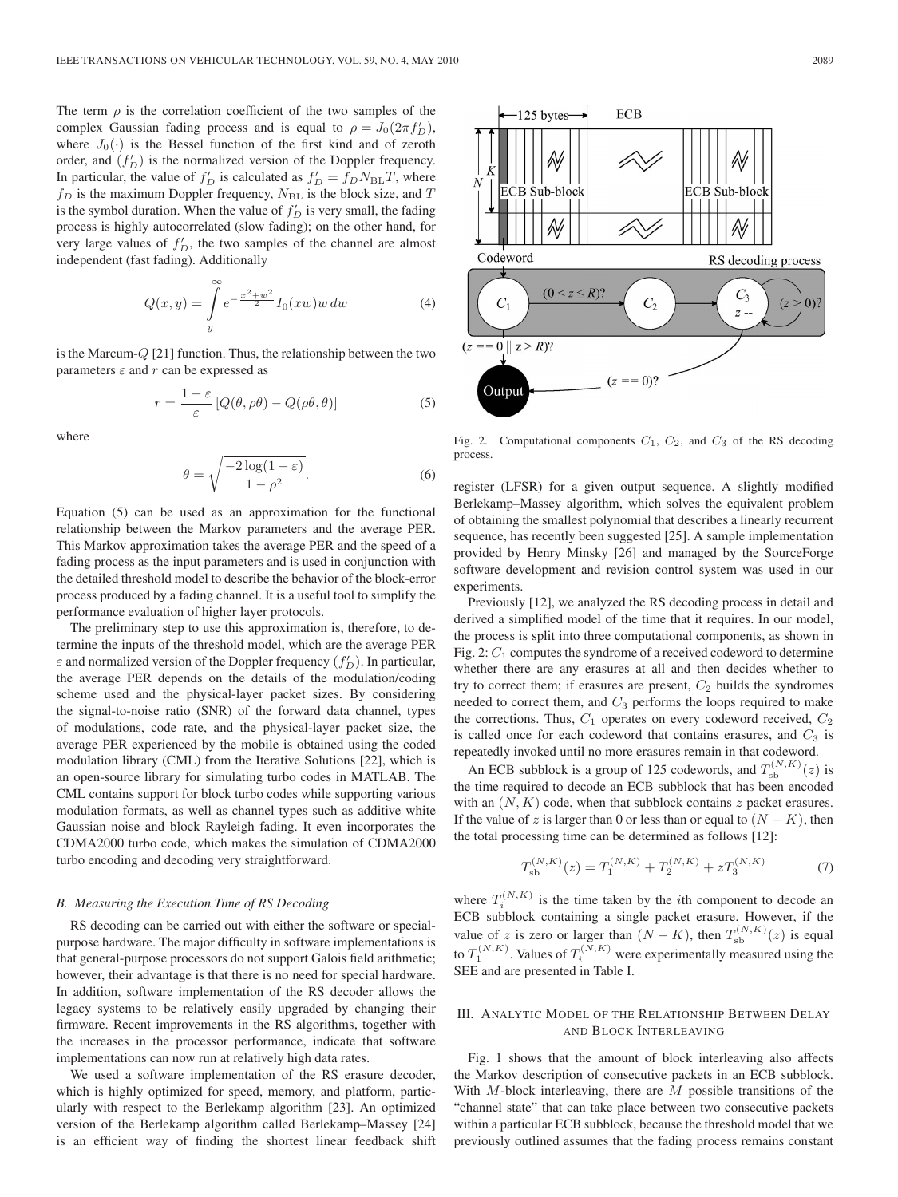The term  $\rho$  is the correlation coefficient of the two samples of the complex Gaussian fading process and is equal to  $\rho = J_0(2\pi f'_D)$ , where  $J_0(\cdot)$  is the Bessel function of the first kind and of zeroth order, and  $(f'_D)$  is the normalized version of the Doppler frequency. In particular, the value of  $f'_D$  is calculated as  $f'_D = f_D N_{BL}T$ , where  $f_D$  is the maximum Doppler frequency,  $N_{BL}$  is the block size, and T is the symbol duration. When the value of  $f'_D$  is very small, the fading process is highly autocorrelated (slow fading); on the other hand, for very large values of  $f'_{D}$ , the two samples of the channel are almost independent (fast fading). Additionally

$$
Q(x,y) = \int_{y}^{\infty} e^{-\frac{x^2 + w^2}{2}} I_0(xw)w dw
$$
 (4)

is the Marcum-Q [21] function. Thus, the relationship between the two parameters  $\varepsilon$  and  $r$  can be expressed as

$$
r = \frac{1 - \varepsilon}{\varepsilon} \left[ Q(\theta, \rho \theta) - Q(\rho \theta, \theta) \right]
$$
 (5)

where

$$
\theta = \sqrt{\frac{-2\log(1-\varepsilon)}{1-\rho^2}}.\tag{6}
$$

Equation (5) can be used as an approximation for the functional relationship between the Markov parameters and the average PER. This Markov approximation takes the average PER and the speed of a fading process as the input parameters and is used in conjunction with the detailed threshold model to describe the behavior of the block-error process produced by a fading channel. It is a useful tool to simplify the performance evaluation of higher layer protocols.

The preliminary step to use this approximation is, therefore, to determine the inputs of the threshold model, which are the average PER  $\varepsilon$  and normalized version of the Doppler frequency  $(f'_D)$ . In particular, the average PER depends on the details of the modulation/coding scheme used and the physical-layer packet sizes. By considering the signal-to-noise ratio (SNR) of the forward data channel, types of modulations, code rate, and the physical-layer packet size, the average PER experienced by the mobile is obtained using the coded modulation library (CML) from the Iterative Solutions [22], which is an open-source library for simulating turbo codes in MATLAB. The CML contains support for block turbo codes while supporting various modulation formats, as well as channel types such as additive white Gaussian noise and block Rayleigh fading. It even incorporates the CDMA2000 turbo code, which makes the simulation of CDMA2000 turbo encoding and decoding very straightforward.

## *B. Measuring the Execution Time of RS Decoding*

RS decoding can be carried out with either the software or specialpurpose hardware. The major difficulty in software implementations is that general-purpose processors do not support Galois field arithmetic; however, their advantage is that there is no need for special hardware. In addition, software implementation of the RS decoder allows the legacy systems to be relatively easily upgraded by changing their firmware. Recent improvements in the RS algorithms, together with the increases in the processor performance, indicate that software implementations can now run at relatively high data rates.

We used a software implementation of the RS erasure decoder, which is highly optimized for speed, memory, and platform, particularly with respect to the Berlekamp algorithm [23]. An optimized version of the Berlekamp algorithm called Berlekamp–Massey [24] is an efficient way of finding the shortest linear feedback shift



Fig. 2. Computational components  $C_1$ ,  $C_2$ , and  $C_3$  of the RS decoding process.

register (LFSR) for a given output sequence. A slightly modified Berlekamp–Massey algorithm, which solves the equivalent problem of obtaining the smallest polynomial that describes a linearly recurrent sequence, has recently been suggested [25]. A sample implementation provided by Henry Minsky [26] and managed by the SourceForge software development and revision control system was used in our experiments.

Previously [12], we analyzed the RS decoding process in detail and derived a simplified model of the time that it requires. In our model, the process is split into three computational components, as shown in Fig. 2:  $C_1$  computes the syndrome of a received codeword to determine whether there are any erasures at all and then decides whether to try to correct them; if erasures are present,  $C_2$  builds the syndromes needed to correct them, and  $C_3$  performs the loops required to make the corrections. Thus,  $C_1$  operates on every codeword received,  $C_2$ is called once for each codeword that contains erasures, and  $C_3$  is repeatedly invoked until no more erasures remain in that codeword.

An ECB subblock is a group of 125 codewords, and  $T_{sb}^{(N,K)}(z)$  is the time required to decode an ECB subblock that has been encoded with an  $(N, K)$  code, when that subblock contains z packet erasures. If the value of z is larger than 0 or less than or equal to  $(N - K)$ , then the total processing time can be determined as follows [12]:

$$
T_{\rm sb}^{(N,K)}(z) = T_1^{(N,K)} + T_2^{(N,K)} + zT_3^{(N,K)} \tag{7}
$$

where  $T_i^{(N,K)}$  is the time taken by the *i*th component to decode an ECB subblock containing a single packet erasure. However, if the value of z is zero or larger than  $(N - K)$ , then  $T_{sb}^{(N,K)}(z)$  is equal to  $T_1^{(N,K)}$ . Values of  $T_i^{(N,K)}$  were experimentally measured using the SEE and are presented in Table I.

# III. ANALYTIC MODEL OF THE RELATIONSHIP BETWEEN DELAY AND BLOCK INTERLEAVING

Fig. 1 shows that the amount of block interleaving also affects the Markov description of consecutive packets in an ECB subblock. With  $M$ -block interleaving, there are  $M$  possible transitions of the "channel state" that can take place between two consecutive packets within a particular ECB subblock, because the threshold model that we previously outlined assumes that the fading process remains constant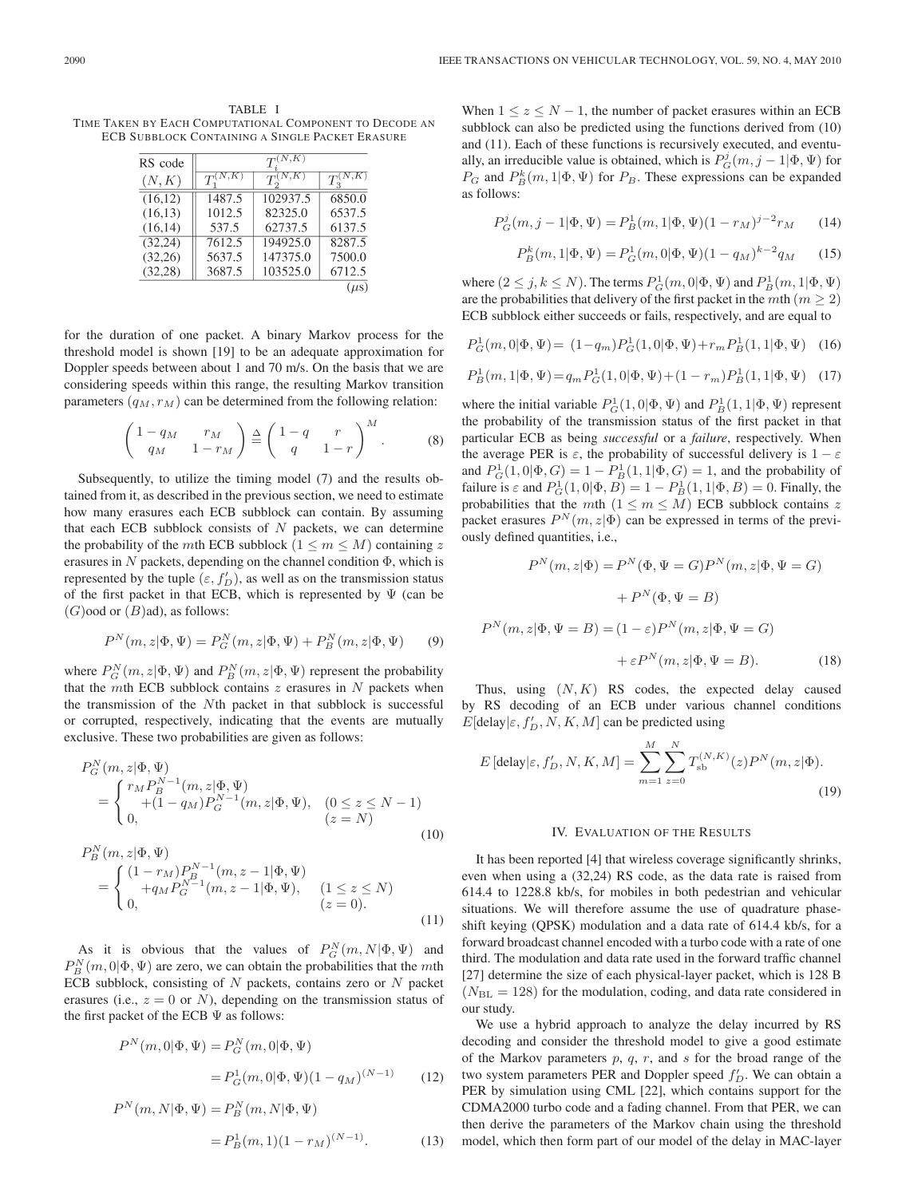TABLE I TIME TAKEN BY EACH COMPUTATIONAL COMPONENT TO DECODE AN ECB SUBBLOCK CONTAINING A SINGLE PACKET ERASURE

| RS code  |        |          |          |  |  |
|----------|--------|----------|----------|--|--|
| (N,K)    |        |          |          |  |  |
| (16.12)  | 1487.5 | 102937.5 | 6850.0   |  |  |
| (16, 13) | 1012.5 | 82325.0  | 6537.5   |  |  |
| (16, 14) | 537.5  | 62737.5  | 6137.5   |  |  |
| (32, 24) | 7612.5 | 194925.0 | 8287.5   |  |  |
| (32,26)  | 5637.5 | 147375.0 | 7500.0   |  |  |
| (32, 28) | 3687.5 | 103525.0 | 6712.5   |  |  |
|          |        |          | $\mu$ s) |  |  |

for the duration of one packet. A binary Markov process for the threshold model is shown [19] to be an adequate approximation for Doppler speeds between about 1 and 70 m/s. On the basis that we are considering speeds within this range, the resulting Markov transition parameters  $(q_M, r_M)$  can be determined from the following relation:

$$
\begin{pmatrix} 1 - q_M & r_M \\ q_M & 1 - r_M \end{pmatrix} \stackrel{\Delta}{=} \begin{pmatrix} 1 - q & r \\ q & 1 - r \end{pmatrix}^M.
$$
 (8)

Subsequently, to utilize the timing model (7) and the results obtained from it, as described in the previous section, we need to estimate how many erasures each ECB subblock can contain. By assuming that each ECB subblock consists of  $N$  packets, we can determine the probability of the mth ECB subblock ( $1 \le m \le M$ ) containing z erasures in N packets, depending on the channel condition  $\Phi$ , which is represented by the tuple  $(\varepsilon, f'_D)$ , as well as on the transmission status of the first packet in that ECB, which is represented by  $\Psi$  (can be  $(G)$ ood or  $(B)$ ad), as follows:

$$
P^{N}(m, z | \Phi, \Psi) = P_{G}^{N}(m, z | \Phi, \Psi) + P_{B}^{N}(m, z | \Phi, \Psi)
$$
(9)

where  $P_G^N(m, z | \Phi, \Psi)$  and  $P_B^N(m, z | \Phi, \Psi)$  represent the probability that the  $m$ th ECB subblock contains  $z$  erasures in  $N$  packets when the transmission of the Nth packet in that subblock is successful or corrupted, respectively, indicating that the events are mutually exclusive. These two probabilities are given as follows:

$$
P_G^N(m, z | \Phi, \Psi)
$$
  
= 
$$
\begin{cases} r_M P_B^{N-1}(m, z | \Phi, \Psi) \\ + (1 - q_M) P_G^{N-1}(m, z | \Phi, \Psi), & (0 \le z \le N - 1) \\ 0, & (z = N) \end{cases}
$$
 (10)

$$
P_B^N(m, z | \Phi, \Psi)
$$
  
= 
$$
\begin{cases} (1 - r_M) P_B^{N-1}(m, z - 1 | \Phi, \Psi) \\ + q_M P_G^{N-1}(m, z - 1 | \Phi, \Psi), & (1 \le z \le N) \\ 0, & (z = 0). \end{cases}
$$
 (11)

As it is obvious that the values of  $P_G^N(m, N | \Phi, \Psi)$  and  $P_B^N(m, 0 | \Phi, \Psi)$  are zero, we can obtain the probabilities that the mth ECB subblock, consisting of  $N$  packets, contains zero or  $N$  packet erasures (i.e.,  $z = 0$  or N), depending on the transmission status of the first packet of the ECB  $\Psi$  as follows:

$$
P^{N}(m,0|\Phi,\Psi) = P_{G}^{N}(m,0|\Phi,\Psi)
$$

$$
= P_{G}^{1}(m,0|\Phi,\Psi)(1-q_{M})^{(N-1)} \qquad (12)
$$

$$
P^{N}(m, N | \Phi, \Psi) = P_{B}^{N}(m, N | \Phi, \Psi)
$$

$$
= P_{B}^{1}(m, 1)(1 - r_{M})^{(N-1)}.
$$
 (13)

When  $1 \le z \le N - 1$ , the number of packet erasures within an ECB subblock can also be predicted using the functions derived from (10) and (11). Each of these functions is recursively executed, and eventually, an irreducible value is obtained, which is  $P_G^j(m, j - 1 | \Phi, \Psi)$  for  $P_G$  and  $P_B^k(m, 1 | \Phi, \Psi)$  for  $P_B$ . These expressions can be expanded as follows:

$$
P_G^j(m, j - 1 | \Phi, \Psi) = P_B^1(m, 1 | \Phi, \Psi) (1 - r_M)^{j - 2} r_M \tag{14}
$$

$$
P_B^k(m,1|\Phi,\Psi) = P_G^1(m,0|\Phi,\Psi)(1-q_M)^{k-2}q_M \qquad (15)
$$

where  $(2 \le j, k \le N)$ . The terms  $P_G^1(m, 0 | \Phi, \Psi)$  and  $P_B^1(m, 1 | \Phi, \Psi)$ are the probabilities that delivery of the first packet in the mth  $(m \ge 2)$ ECB subblock either succeeds or fails, respectively, and are equal to

$$
P_G^1(m,0|\Phi,\Psi) = (1-q_m)P_G^1(1,0|\Phi,\Psi) + r_m P_B^1(1,1|\Phi,\Psi)
$$
 (16)

$$
P_B^1(m,1|\Phi,\Psi) = q_m P_G^1(1,0|\Phi,\Psi) + (1 - r_m)P_B^1(1,1|\Phi,\Psi)
$$
 (17)

where the initial variable  $P_G^1(1,0|\Phi,\Psi)$  and  $P_B^1(1,1|\Phi,\Psi)$  represent the probability of the transmission status of the first packet in that particular ECB as being *successful* or a *failure*, respectively. When the average PER is  $\varepsilon$ , the probability of successful delivery is  $1 - \varepsilon$ and  $P_G^1(1,0|\Phi,G) = 1 - P_B^1(1,1|\Phi,G) = 1$ , and the probability of failure is  $\varepsilon$  and  $P_G^1(1,0|\Phi,B) = 1 - P_B^1(1,1|\Phi,B) = 0$ . Finally, the probabilities that the mth  $(1 \le m \le M)$  ECB subblock contains z packet erasures  $P^{N}(m, z | \Phi)$  can be expressed in terms of the previously defined quantities, i.e.,

$$
P^{N}(m, z | \Phi) = P^{N}(\Phi, \Psi = G) P^{N}(m, z | \Phi, \Psi = G)
$$

$$
+ P^{N}(\Phi, \Psi = B)
$$

$$
P^{N}(m, z | \Phi, \Psi = B) = (1 - \varepsilon) P^{N}(m, z | \Phi, \Psi = G)
$$

$$
+ \varepsilon P^{N}(m, z | \Phi, \Psi = B). \tag{18}
$$

Thus, using  $(N, K)$  RS codes, the expected delay caused by RS decoding of an ECB under various channel conditions  $E[delay|\varepsilon, f'_{D}, N, K, M]$  can be predicted using

$$
E\left[\text{delay}|\varepsilon, f'_D, N, K, M\right] = \sum_{m=1}^{M} \sum_{z=0}^{N} T_{\text{sb}}^{(N,K)}(z) P^N(m, z | \Phi). \tag{19}
$$

#### IV. EVALUATION OF THE RESULTS

It has been reported [4] that wireless coverage significantly shrinks, even when using a (32,24) RS code, as the data rate is raised from 614.4 to 1228.8 kb/s, for mobiles in both pedestrian and vehicular situations. We will therefore assume the use of quadrature phaseshift keying (QPSK) modulation and a data rate of 614.4 kb/s, for a forward broadcast channel encoded with a turbo code with a rate of one third. The modulation and data rate used in the forward traffic channel [27] determine the size of each physical-layer packet, which is 128 B  $(N<sub>BL</sub> = 128)$  for the modulation, coding, and data rate considered in our study.

We use a hybrid approach to analyze the delay incurred by RS decoding and consider the threshold model to give a good estimate of the Markov parameters  $p, q, r$ , and s for the broad range of the two system parameters PER and Doppler speed  $f'_D$ . We can obtain a PER by simulation using CML [22], which contains support for the CDMA2000 turbo code and a fading channel. From that PER, we can then derive the parameters of the Markov chain using the threshold model, which then form part of our model of the delay in MAC-layer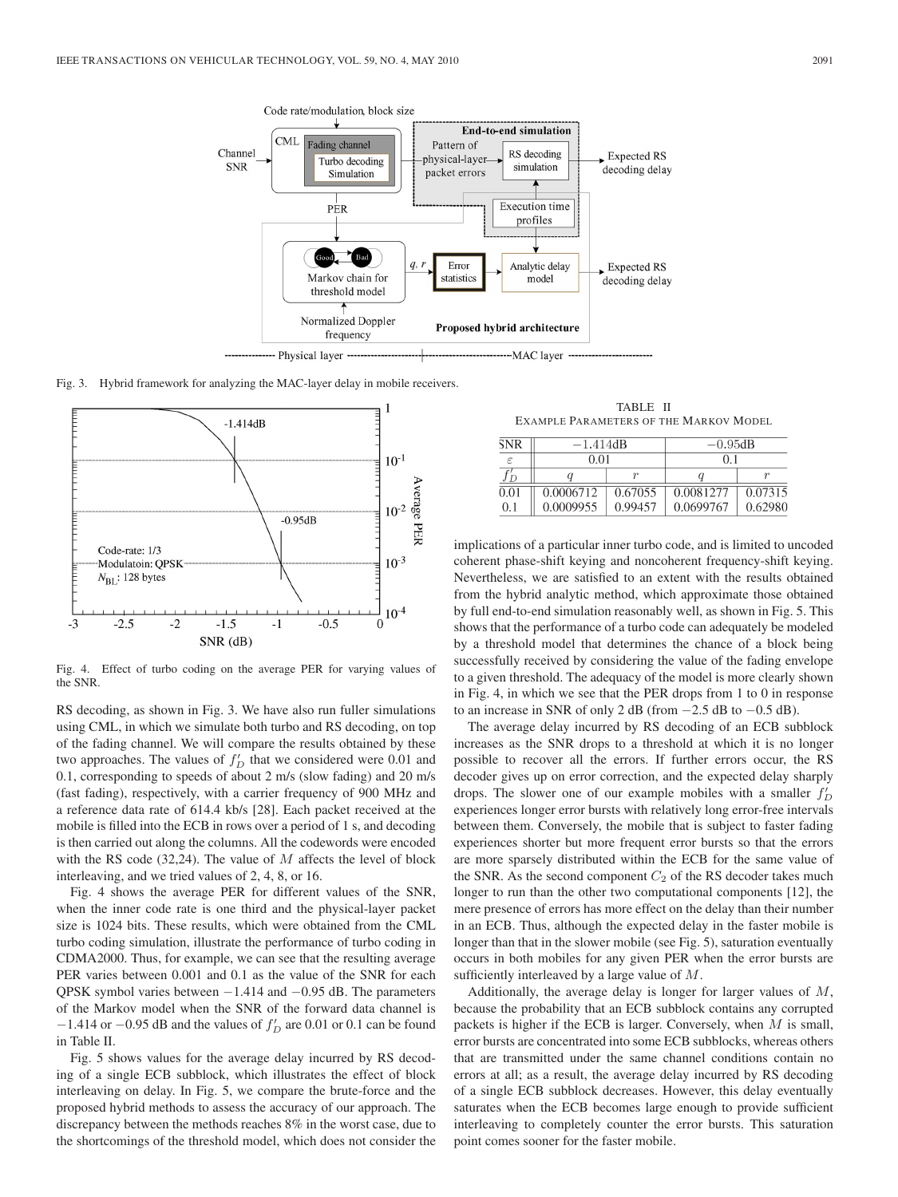

Fig. 3. Hybrid framework for analyzing the MAC-layer delay in mobile receivers.



Fig. 4. Effect of turbo coding on the average PER for varying values of the SNR.

RS decoding, as shown in Fig. 3. We have also run fuller simulations using CML, in which we simulate both turbo and RS decoding, on top of the fading channel. We will compare the results obtained by these two approaches. The values of  $f'_D$  that we considered were 0.01 and 0.1, corresponding to speeds of about 2 m/s (slow fading) and 20 m/s (fast fading), respectively, with a carrier frequency of 900 MHz and a reference data rate of 614.4 kb/s [28]. Each packet received at the mobile is filled into the ECB in rows over a period of 1 s, and decoding is then carried out along the columns. All the codewords were encoded with the RS code  $(32,24)$ . The value of M affects the level of block interleaving, and we tried values of 2, 4, 8, or 16.

Fig. 4 shows the average PER for different values of the SNR, when the inner code rate is one third and the physical-layer packet size is 1024 bits. These results, which were obtained from the CML turbo coding simulation, illustrate the performance of turbo coding in CDMA2000. Thus, for example, we can see that the resulting average PER varies between 0.001 and 0.1 as the value of the SNR for each QPSK symbol varies between −1.414 and −0.95 dB. The parameters of the Markov model when the SNR of the forward data channel is  $-1.414$  or  $-0.95$  dB and the values of  $f'_D$  are 0.01 or 0.1 can be found in Table II.

Fig. 5 shows values for the average delay incurred by RS decoding of a single ECB subblock, which illustrates the effect of block interleaving on delay. In Fig. 5, we compare the brute-force and the proposed hybrid methods to assess the accuracy of our approach. The discrepancy between the methods reaches 8% in the worst case, due to the shortcomings of the threshold model, which does not consider the

TABLE II EXAMPLE PARAMETERS OF THE MARKOV MODEL

| <b>SNR</b> | $-1.414dB$ |         | $-0.95dB$ |         |
|------------|------------|---------|-----------|---------|
| ε          | 0.01       |         |           |         |
| $\Gamma$   |            |         |           |         |
| 0.01       | 0.0006712  | 0.67055 | 0.0081277 | 0.07315 |
| 0.1        | 0.0009955  | 0.99457 | 0.0699767 | 0.62980 |

implications of a particular inner turbo code, and is limited to uncoded coherent phase-shift keying and noncoherent frequency-shift keying. Nevertheless, we are satisfied to an extent with the results obtained from the hybrid analytic method, which approximate those obtained by full end-to-end simulation reasonably well, as shown in Fig. 5. This shows that the performance of a turbo code can adequately be modeled by a threshold model that determines the chance of a block being successfully received by considering the value of the fading envelope to a given threshold. The adequacy of the model is more clearly shown in Fig. 4, in which we see that the PER drops from 1 to 0 in response to an increase in SNR of only 2 dB (from  $-2.5$  dB to  $-0.5$  dB).

The average delay incurred by RS decoding of an ECB subblock increases as the SNR drops to a threshold at which it is no longer possible to recover all the errors. If further errors occur, the RS decoder gives up on error correction, and the expected delay sharply drops. The slower one of our example mobiles with a smaller  $f'_D$ experiences longer error bursts with relatively long error-free intervals between them. Conversely, the mobile that is subject to faster fading experiences shorter but more frequent error bursts so that the errors are more sparsely distributed within the ECB for the same value of the SNR. As the second component  $C_2$  of the RS decoder takes much longer to run than the other two computational components [12], the mere presence of errors has more effect on the delay than their number in an ECB. Thus, although the expected delay in the faster mobile is longer than that in the slower mobile (see Fig. 5), saturation eventually occurs in both mobiles for any given PER when the error bursts are sufficiently interleaved by a large value of M.

Additionally, the average delay is longer for larger values of M, because the probability that an ECB subblock contains any corrupted packets is higher if the ECB is larger. Conversely, when  $M$  is small, error bursts are concentrated into some ECB subblocks, whereas others that are transmitted under the same channel conditions contain no errors at all; as a result, the average delay incurred by RS decoding of a single ECB subblock decreases. However, this delay eventually saturates when the ECB becomes large enough to provide sufficient interleaving to completely counter the error bursts. This saturation point comes sooner for the faster mobile.